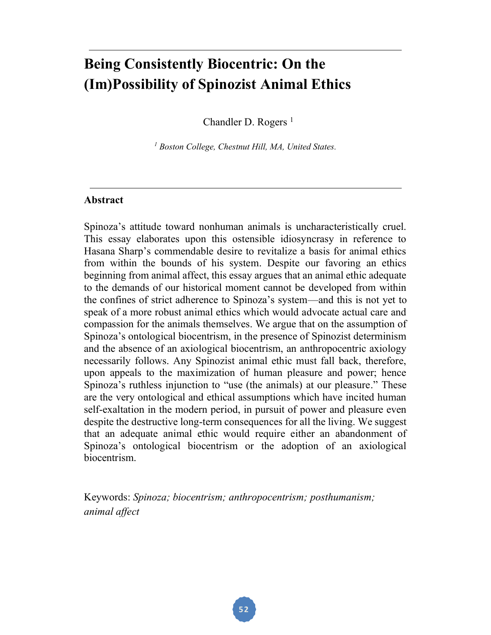# **Being Consistently Biocentric: On the (Im)Possibility of Spinozist Animal Ethics**

Chandler D. Rogers<sup>1</sup>

*<sup>1</sup> Boston College, Chestnut Hill, MA, United States.*

#### **Abstract**

Spinoza's attitude toward nonhuman animals is uncharacteristically cruel. This essay elaborates upon this ostensible idiosyncrasy in reference to Hasana Sharp's commendable desire to revitalize a basis for animal ethics from within the bounds of his system. Despite our favoring an ethics beginning from animal affect, this essay argues that an animal ethic adequate to the demands of our historical moment cannot be developed from within the confines of strict adherence to Spinoza's system—and this is not yet to speak of a more robust animal ethics which would advocate actual care and compassion for the animals themselves. We argue that on the assumption of Spinoza's ontological biocentrism, in the presence of Spinozist determinism and the absence of an axiological biocentrism, an anthropocentric axiology necessarily follows. Any Spinozist animal ethic must fall back, therefore, upon appeals to the maximization of human pleasure and power; hence Spinoza's ruthless injunction to "use (the animals) at our pleasure." These are the very ontological and ethical assumptions which have incited human self-exaltation in the modern period, in pursuit of power and pleasure even despite the destructive long-term consequences for all the living. We suggest that an adequate animal ethic would require either an abandonment of Spinoza's ontological biocentrism or the adoption of an axiological biocentrism.

Keywords: *Spinoza; biocentrism; anthropocentrism; posthumanism; animal affect*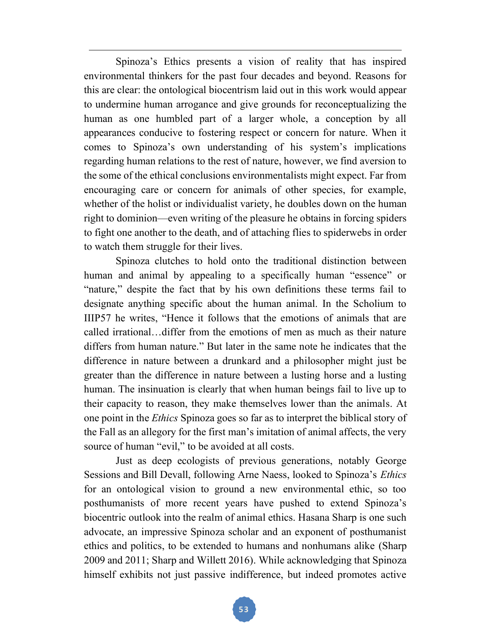Spinoza's Ethics presents a vision of reality that has inspired environmental thinkers for the past four decades and beyond. Reasons for this are clear: the ontological biocentrism laid out in this work would appear to undermine human arrogance and give grounds for reconceptualizing the human as one humbled part of a larger whole, a conception by all appearances conducive to fostering respect or concern for nature. When it comes to Spinoza's own understanding of his system's implications regarding human relations to the rest of nature, however, we find aversion to the some of the ethical conclusions environmentalists might expect. Far from encouraging care or concern for animals of other species, for example, whether of the holist or individualist variety, he doubles down on the human right to dominion—even writing of the pleasure he obtains in forcing spiders to fight one another to the death, and of attaching flies to spiderwebs in order to watch them struggle for their lives.

Spinoza clutches to hold onto the traditional distinction between human and animal by appealing to a specifically human "essence" or "nature," despite the fact that by his own definitions these terms fail to designate anything specific about the human animal. In the Scholium to IIIP57 he writes, "Hence it follows that the emotions of animals that are called irrational…differ from the emotions of men as much as their nature differs from human nature." But later in the same note he indicates that the difference in nature between a drunkard and a philosopher might just be greater than the difference in nature between a lusting horse and a lusting human. The insinuation is clearly that when human beings fail to live up to their capacity to reason, they make themselves lower than the animals. At one point in the *Ethics* Spinoza goes so far as to interpret the biblical story of the Fall as an allegory for the first man's imitation of animal affects, the very source of human "evil," to be avoided at all costs.

Just as deep ecologists of previous generations, notably George Sessions and Bill Devall, following Arne Naess, looked to Spinoza's *Ethics* for an ontological vision to ground a new environmental ethic, so too posthumanists of more recent years have pushed to extend Spinoza's biocentric outlook into the realm of animal ethics. Hasana Sharp is one such advocate, an impressive Spinoza scholar and an exponent of posthumanist ethics and politics, to be extended to humans and nonhumans alike (Sharp 2009 and 2011; Sharp and Willett 2016). While acknowledging that Spinoza himself exhibits not just passive indifference, but indeed promotes active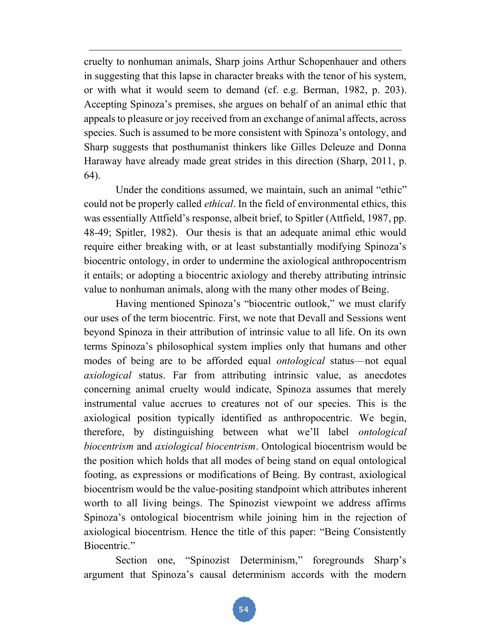cruelty to nonhuman animals, Sharp joins Arthur Schopenhauer and others in suggesting that this lapse in character breaks with the tenor of his system, or with what it would seem to demand (cf. e.g. Berman, 1982, p. 203). Accepting Spinoza's premises, she argues on behalf of an animal ethic that appeals to pleasure or joy received from an exchange of animal affects, across species. Such is assumed to be more consistent with Spinoza's ontology, and Sharp suggests that posthumanist thinkers like Gilles Deleuze and Donna Haraway have already made great strides in this direction (Sharp, 2011, p. 64).

Under the conditions assumed, we maintain, such an animal "ethic" could not be properly called *ethical*. In the field of environmental ethics, this was essentially Attfield's response, albeit brief, to Spitler (Attfield, 1987, pp. 48-49; Spitler, 1982). Our thesis is that an adequate animal ethic would require either breaking with, or at least substantially modifying Spinoza's biocentric ontology, in order to undermine the axiological anthropocentrism it entails; or adopting a biocentric axiology and thereby attributing intrinsic value to nonhuman animals, along with the many other modes of Being.

Having mentioned Spinoza's "biocentric outlook," we must clarify our uses of the term biocentric. First, we note that Devall and Sessions went beyond Spinoza in their attribution of intrinsic value to all life. On its own terms Spinoza's philosophical system implies only that humans and other modes of being are to be afforded equal *ontological* status—not equal *axiological* status. Far from attributing intrinsic value, as anecdotes concerning animal cruelty would indicate, Spinoza assumes that merely instrumental value accrues to creatures not of our species. This is the axiological position typically identified as anthropocentric. We begin, therefore, by distinguishing between what we'll label *ontological biocentrism* and *axiological biocentrism*. Ontological biocentrism would be the position which holds that all modes of being stand on equal ontological footing, as expressions or modifications of Being. By contrast, axiological biocentrism would be the value-positing standpoint which attributes inherent worth to all living beings. The Spinozist viewpoint we address affirms Spinoza's ontological biocentrism while joining him in the rejection of axiological biocentrism. Hence the title of this paper: "Being Consistently Biocentric."

Section one, "Spinozist Determinism," foregrounds Sharp's argument that Spinoza's causal determinism accords with the modern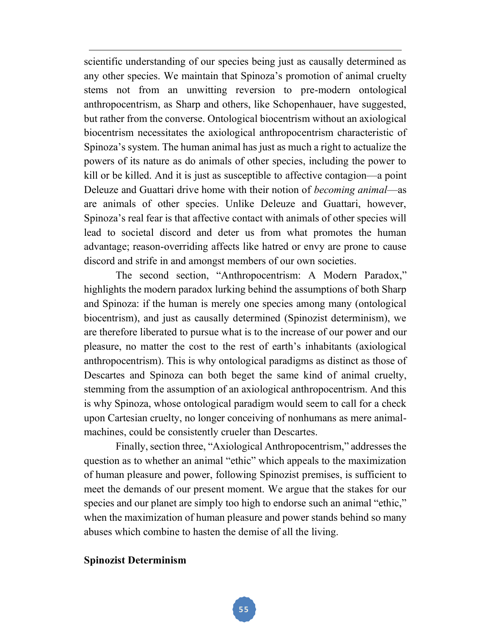scientific understanding of our species being just as causally determined as any other species. We maintain that Spinoza's promotion of animal cruelty stems not from an unwitting reversion to pre-modern ontological anthropocentrism, as Sharp and others, like Schopenhauer, have suggested, but rather from the converse. Ontological biocentrism without an axiological biocentrism necessitates the axiological anthropocentrism characteristic of Spinoza's system. The human animal has just as much a right to actualize the powers of its nature as do animals of other species, including the power to kill or be killed. And it is just as susceptible to affective contagion—a point Deleuze and Guattari drive home with their notion of *becoming animal*—as are animals of other species. Unlike Deleuze and Guattari, however, Spinoza's real fear is that affective contact with animals of other species will lead to societal discord and deter us from what promotes the human advantage; reason-overriding affects like hatred or envy are prone to cause discord and strife in and amongst members of our own societies.

The second section, "Anthropocentrism: A Modern Paradox," highlights the modern paradox lurking behind the assumptions of both Sharp and Spinoza: if the human is merely one species among many (ontological biocentrism), and just as causally determined (Spinozist determinism), we are therefore liberated to pursue what is to the increase of our power and our pleasure, no matter the cost to the rest of earth's inhabitants (axiological anthropocentrism). This is why ontological paradigms as distinct as those of Descartes and Spinoza can both beget the same kind of animal cruelty, stemming from the assumption of an axiological anthropocentrism. And this is why Spinoza, whose ontological paradigm would seem to call for a check upon Cartesian cruelty, no longer conceiving of nonhumans as mere animalmachines, could be consistently crueler than Descartes.

Finally, section three, "Axiological Anthropocentrism," addresses the question as to whether an animal "ethic" which appeals to the maximization of human pleasure and power, following Spinozist premises, is sufficient to meet the demands of our present moment. We argue that the stakes for our species and our planet are simply too high to endorse such an animal "ethic," when the maximization of human pleasure and power stands behind so many abuses which combine to hasten the demise of all the living.

### **Spinozist Determinism**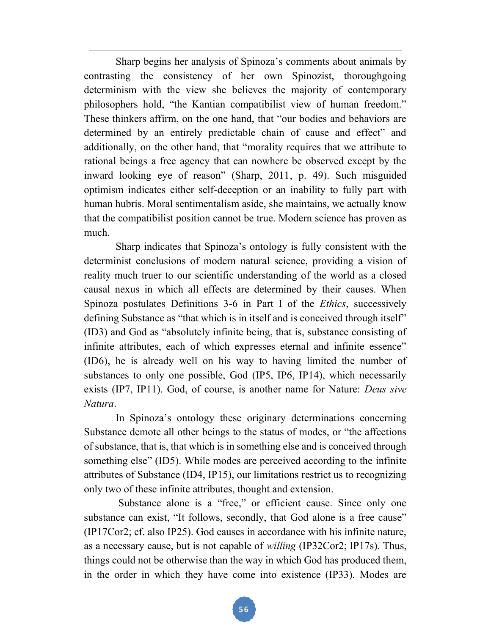Sharp begins her analysis of Spinoza's comments about animals by contrasting the consistency of her own Spinozist, thoroughgoing determinism with the view she believes the majority of contemporary philosophers hold, "the Kantian compatibilist view of human freedom." These thinkers affirm, on the one hand, that "our bodies and behaviors are determined by an entirely predictable chain of cause and effect" and additionally, on the other hand, that "morality requires that we attribute to rational beings a free agency that can nowhere be observed except by the inward looking eye of reason" (Sharp, 2011, p. 49). Such misguided optimism indicates either self-deception or an inability to fully part with human hubris. Moral sentimentalism aside, she maintains, we actually know that the compatibilist position cannot be true. Modern science has proven as much.

Sharp indicates that Spinoza's ontology is fully consistent with the determinist conclusions of modern natural science, providing a vision of reality much truer to our scientific understanding of the world as a closed causal nexus in which all effects are determined by their causes. When Spinoza postulates Definitions 3-6 in Part I of the *Ethics*, successively defining Substance as "that which is in itself and is conceived through itself" (ID3) and God as "absolutely infinite being, that is, substance consisting of infinite attributes, each of which expresses eternal and infinite essence" (ID6), he is already well on his way to having limited the number of substances to only one possible, God (IP5, IP6, IP14), which necessarily exists (IP7, IP11). God, of course, is another name for Nature: *Deus sive Natura*.

In Spinoza's ontology these originary determinations concerning Substance demote all other beings to the status of modes, or "the affections of substance, that is, that which is in something else and is conceived through something else" (ID5). While modes are perceived according to the infinite attributes of Substance (ID4, IP15), our limitations restrict us to recognizing only two of these infinite attributes, thought and extension.

Substance alone is a "free," or efficient cause. Since only one substance can exist, "It follows, secondly, that God alone is a free cause" (IP17Cor2; cf. also IP25). God causes in accordance with his infinite nature, as a necessary cause, but is not capable of *willing* (IP32Cor2; IP17s). Thus, things could not be otherwise than the way in which God has produced them, in the order in which they have come into existence (IP33). Modes are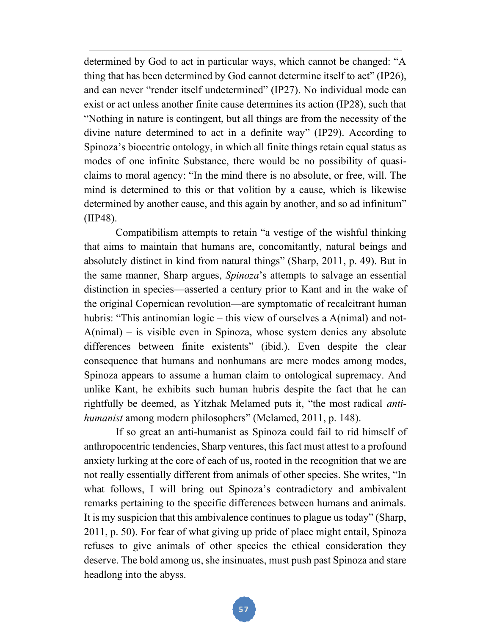determined by God to act in particular ways, which cannot be changed: "A thing that has been determined by God cannot determine itself to act" (IP26), and can never "render itself undetermined" (IP27). No individual mode can exist or act unless another finite cause determines its action (IP28), such that "Nothing in nature is contingent, but all things are from the necessity of the divine nature determined to act in a definite way" (IP29). According to Spinoza's biocentric ontology, in which all finite things retain equal status as modes of one infinite Substance, there would be no possibility of quasiclaims to moral agency: "In the mind there is no absolute, or free, will. The mind is determined to this or that volition by a cause, which is likewise determined by another cause, and this again by another, and so ad infinitum" (IIP48).

Compatibilism attempts to retain "a vestige of the wishful thinking that aims to maintain that humans are, concomitantly, natural beings and absolutely distinct in kind from natural things" (Sharp, 2011, p. 49). But in the same manner, Sharp argues, *Spinoza*'s attempts to salvage an essential distinction in species—asserted a century prior to Kant and in the wake of the original Copernican revolution—are symptomatic of recalcitrant human hubris: "This antinomian logic – this view of ourselves a A(nimal) and not-A(nimal) – is visible even in Spinoza, whose system denies any absolute differences between finite existents" (ibid.). Even despite the clear consequence that humans and nonhumans are mere modes among modes, Spinoza appears to assume a human claim to ontological supremacy. And unlike Kant, he exhibits such human hubris despite the fact that he can rightfully be deemed, as Yitzhak Melamed puts it, "the most radical *antihumanist* among modern philosophers" (Melamed, 2011, p. 148).

If so great an anti-humanist as Spinoza could fail to rid himself of anthropocentric tendencies, Sharp ventures, this fact must attest to a profound anxiety lurking at the core of each of us, rooted in the recognition that we are not really essentially different from animals of other species. She writes, "In what follows, I will bring out Spinoza's contradictory and ambivalent remarks pertaining to the specific differences between humans and animals. It is my suspicion that this ambivalence continues to plague us today" (Sharp, 2011, p. 50). For fear of what giving up pride of place might entail, Spinoza refuses to give animals of other species the ethical consideration they deserve. The bold among us, she insinuates, must push past Spinoza and stare headlong into the abyss.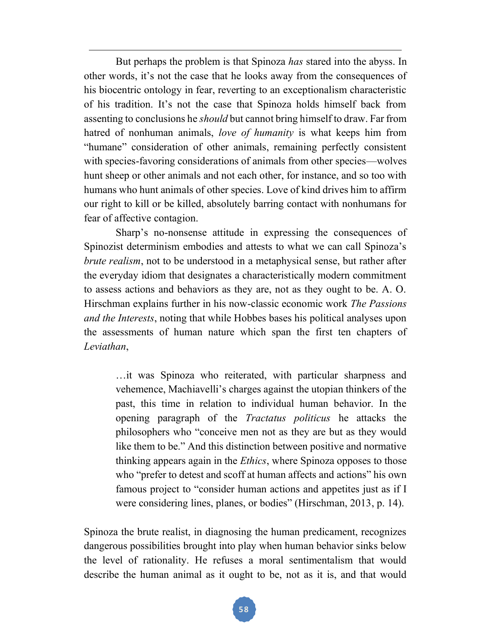But perhaps the problem is that Spinoza *has* stared into the abyss. In other words, it's not the case that he looks away from the consequences of his biocentric ontology in fear, reverting to an exceptionalism characteristic of his tradition. It's not the case that Spinoza holds himself back from assenting to conclusions he *should* but cannot bring himself to draw. Far from hatred of nonhuman animals, *love of humanity* is what keeps him from "humane" consideration of other animals, remaining perfectly consistent with species-favoring considerations of animals from other species—wolves hunt sheep or other animals and not each other, for instance, and so too with humans who hunt animals of other species. Love of kind drives him to affirm our right to kill or be killed, absolutely barring contact with nonhumans for fear of affective contagion.

Sharp's no-nonsense attitude in expressing the consequences of Spinozist determinism embodies and attests to what we can call Spinoza's *brute realism*, not to be understood in a metaphysical sense, but rather after the everyday idiom that designates a characteristically modern commitment to assess actions and behaviors as they are, not as they ought to be. A. O. Hirschman explains further in his now-classic economic work *The Passions and the Interests*, noting that while Hobbes bases his political analyses upon the assessments of human nature which span the first ten chapters of *Leviathan*,

…it was Spinoza who reiterated, with particular sharpness and vehemence, Machiavelli's charges against the utopian thinkers of the past, this time in relation to individual human behavior. In the opening paragraph of the *Tractatus politicus* he attacks the philosophers who "conceive men not as they are but as they would like them to be." And this distinction between positive and normative thinking appears again in the *Ethics*, where Spinoza opposes to those who "prefer to detest and scoff at human affects and actions" his own famous project to "consider human actions and appetites just as if I were considering lines, planes, or bodies" (Hirschman, 2013, p. 14).

Spinoza the brute realist, in diagnosing the human predicament, recognizes dangerous possibilities brought into play when human behavior sinks below the level of rationality. He refuses a moral sentimentalism that would describe the human animal as it ought to be, not as it is, and that would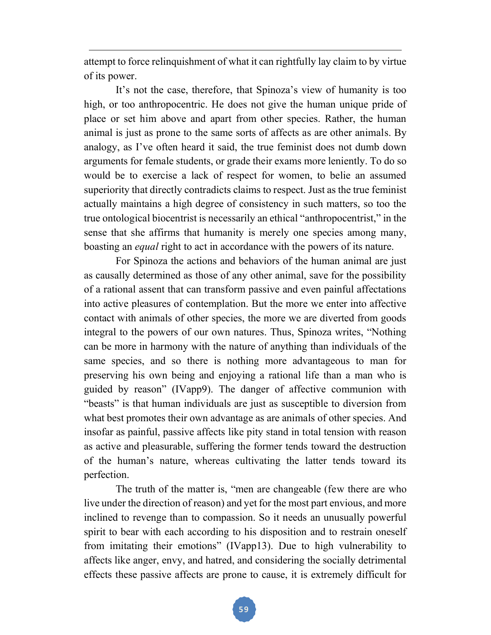attempt to force relinquishment of what it can rightfully lay claim to by virtue of its power.

It's not the case, therefore, that Spinoza's view of humanity is too high, or too anthropocentric. He does not give the human unique pride of place or set him above and apart from other species. Rather, the human animal is just as prone to the same sorts of affects as are other animals. By analogy, as I've often heard it said, the true feminist does not dumb down arguments for female students, or grade their exams more leniently. To do so would be to exercise a lack of respect for women, to belie an assumed superiority that directly contradicts claims to respect. Just as the true feminist actually maintains a high degree of consistency in such matters, so too the true ontological biocentrist is necessarily an ethical "anthropocentrist," in the sense that she affirms that humanity is merely one species among many, boasting an *equal* right to act in accordance with the powers of its nature.

For Spinoza the actions and behaviors of the human animal are just as causally determined as those of any other animal, save for the possibility of a rational assent that can transform passive and even painful affectations into active pleasures of contemplation. But the more we enter into affective contact with animals of other species, the more we are diverted from goods integral to the powers of our own natures. Thus, Spinoza writes, "Nothing can be more in harmony with the nature of anything than individuals of the same species, and so there is nothing more advantageous to man for preserving his own being and enjoying a rational life than a man who is guided by reason" (IVapp9). The danger of affective communion with "beasts" is that human individuals are just as susceptible to diversion from what best promotes their own advantage as are animals of other species. And insofar as painful, passive affects like pity stand in total tension with reason as active and pleasurable, suffering the former tends toward the destruction of the human's nature, whereas cultivating the latter tends toward its perfection.

The truth of the matter is, "men are changeable (few there are who live under the direction of reason) and yet for the most part envious, and more inclined to revenge than to compassion. So it needs an unusually powerful spirit to bear with each according to his disposition and to restrain oneself from imitating their emotions" (IVapp13). Due to high vulnerability to affects like anger, envy, and hatred, and considering the socially detrimental effects these passive affects are prone to cause, it is extremely difficult for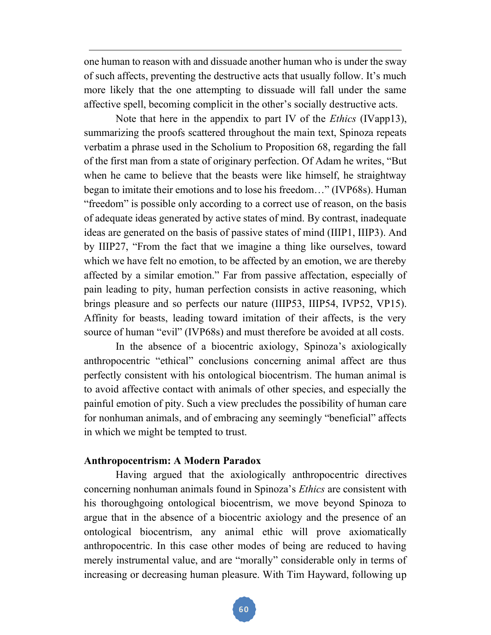one human to reason with and dissuade another human who is under the sway of such affects, preventing the destructive acts that usually follow. It's much more likely that the one attempting to dissuade will fall under the same affective spell, becoming complicit in the other's socially destructive acts.

Note that here in the appendix to part IV of the *Ethics* (IVapp13), summarizing the proofs scattered throughout the main text, Spinoza repeats verbatim a phrase used in the Scholium to Proposition 68, regarding the fall of the first man from a state of originary perfection. Of Adam he writes, "But when he came to believe that the beasts were like himself, he straightway began to imitate their emotions and to lose his freedom…" (IVP68s). Human "freedom" is possible only according to a correct use of reason, on the basis of adequate ideas generated by active states of mind. By contrast, inadequate ideas are generated on the basis of passive states of mind (IIIP1, IIIP3). And by IIIP27, "From the fact that we imagine a thing like ourselves, toward which we have felt no emotion, to be affected by an emotion, we are thereby affected by a similar emotion." Far from passive affectation, especially of pain leading to pity, human perfection consists in active reasoning, which brings pleasure and so perfects our nature (IIIP53, IIIP54, IVP52, VP15). Affinity for beasts, leading toward imitation of their affects, is the very source of human "evil" (IVP68s) and must therefore be avoided at all costs.

In the absence of a biocentric axiology, Spinoza's axiologically anthropocentric "ethical" conclusions concerning animal affect are thus perfectly consistent with his ontological biocentrism. The human animal is to avoid affective contact with animals of other species, and especially the painful emotion of pity. Such a view precludes the possibility of human care for nonhuman animals, and of embracing any seemingly "beneficial" affects in which we might be tempted to trust.

### **Anthropocentrism: A Modern Paradox**

Having argued that the axiologically anthropocentric directives concerning nonhuman animals found in Spinoza's *Ethics* are consistent with his thoroughgoing ontological biocentrism, we move beyond Spinoza to argue that in the absence of a biocentric axiology and the presence of an ontological biocentrism, any animal ethic will prove axiomatically anthropocentric. In this case other modes of being are reduced to having merely instrumental value, and are "morally" considerable only in terms of increasing or decreasing human pleasure. With Tim Hayward, following up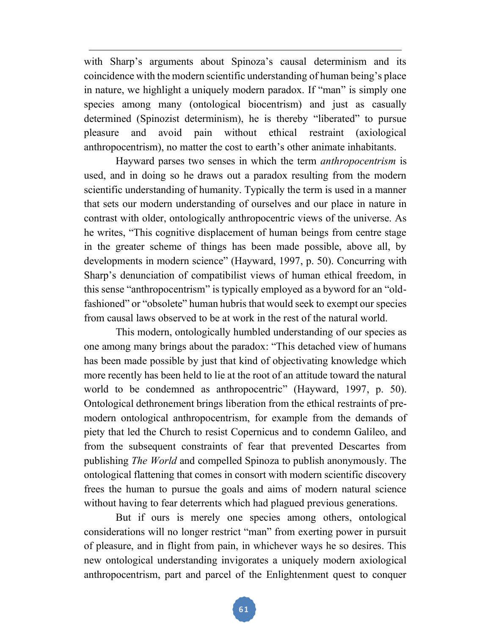with Sharp's arguments about Spinoza's causal determinism and its coincidence with the modern scientific understanding of human being's place in nature, we highlight a uniquely modern paradox. If "man" is simply one species among many (ontological biocentrism) and just as casually determined (Spinozist determinism), he is thereby "liberated" to pursue pleasure and avoid pain without ethical restraint (axiological anthropocentrism), no matter the cost to earth's other animate inhabitants.

Hayward parses two senses in which the term *anthropocentrism* is used, and in doing so he draws out a paradox resulting from the modern scientific understanding of humanity. Typically the term is used in a manner that sets our modern understanding of ourselves and our place in nature in contrast with older, ontologically anthropocentric views of the universe. As he writes, "This cognitive displacement of human beings from centre stage in the greater scheme of things has been made possible, above all, by developments in modern science" (Hayward, 1997, p. 50). Concurring with Sharp's denunciation of compatibilist views of human ethical freedom, in this sense "anthropocentrism" is typically employed as a byword for an "oldfashioned" or "obsolete" human hubris that would seek to exempt our species from causal laws observed to be at work in the rest of the natural world.

This modern, ontologically humbled understanding of our species as one among many brings about the paradox: "This detached view of humans has been made possible by just that kind of objectivating knowledge which more recently has been held to lie at the root of an attitude toward the natural world to be condemned as anthropocentric" (Hayward, 1997, p. 50). Ontological dethronement brings liberation from the ethical restraints of premodern ontological anthropocentrism, for example from the demands of piety that led the Church to resist Copernicus and to condemn Galileo, and from the subsequent constraints of fear that prevented Descartes from publishing *The World* and compelled Spinoza to publish anonymously. The ontological flattening that comes in consort with modern scientific discovery frees the human to pursue the goals and aims of modern natural science without having to fear deterrents which had plagued previous generations.

But if ours is merely one species among others, ontological considerations will no longer restrict "man" from exerting power in pursuit of pleasure, and in flight from pain, in whichever ways he so desires. This new ontological understanding invigorates a uniquely modern axiological anthropocentrism, part and parcel of the Enlightenment quest to conquer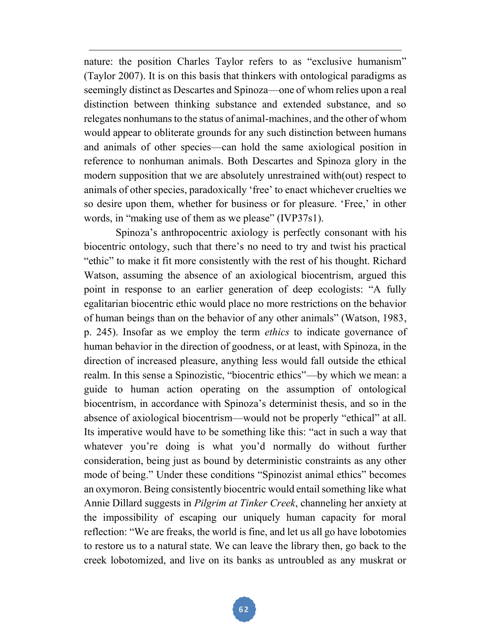nature: the position Charles Taylor refers to as "exclusive humanism" (Taylor 2007). It is on this basis that thinkers with ontological paradigms as seemingly distinct as Descartes and Spinoza—one of whom relies upon a real distinction between thinking substance and extended substance, and so relegates nonhumans to the status of animal-machines, and the other of whom would appear to obliterate grounds for any such distinction between humans and animals of other species—can hold the same axiological position in reference to nonhuman animals. Both Descartes and Spinoza glory in the modern supposition that we are absolutely unrestrained with(out) respect to animals of other species, paradoxically 'free' to enact whichever cruelties we so desire upon them, whether for business or for pleasure. 'Free,' in other words, in "making use of them as we please" (IVP37s1).

Spinoza's anthropocentric axiology is perfectly consonant with his biocentric ontology, such that there's no need to try and twist his practical "ethic" to make it fit more consistently with the rest of his thought. Richard Watson, assuming the absence of an axiological biocentrism, argued this point in response to an earlier generation of deep ecologists: "A fully egalitarian biocentric ethic would place no more restrictions on the behavior of human beings than on the behavior of any other animals" (Watson, 1983, p. 245). Insofar as we employ the term *ethics* to indicate governance of human behavior in the direction of goodness, or at least, with Spinoza, in the direction of increased pleasure, anything less would fall outside the ethical realm. In this sense a Spinozistic, "biocentric ethics"—by which we mean: a guide to human action operating on the assumption of ontological biocentrism, in accordance with Spinoza's determinist thesis, and so in the absence of axiological biocentrism—would not be properly "ethical" at all. Its imperative would have to be something like this: "act in such a way that whatever you're doing is what you'd normally do without further consideration, being just as bound by deterministic constraints as any other mode of being." Under these conditions "Spinozist animal ethics" becomes an oxymoron. Being consistently biocentric would entail something like what Annie Dillard suggests in *Pilgrim at Tinker Creek*, channeling her anxiety at the impossibility of escaping our uniquely human capacity for moral reflection: "We are freaks, the world is fine, and let us all go have lobotomies to restore us to a natural state. We can leave the library then, go back to the creek lobotomized, and live on its banks as untroubled as any muskrat or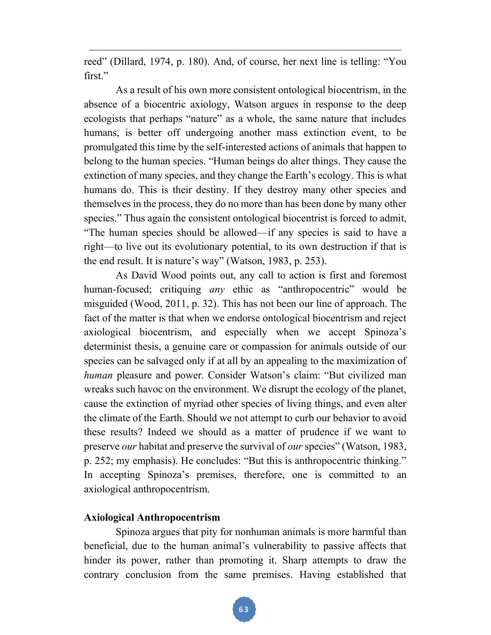reed" (Dillard, 1974, p. 180). And, of course, her next line is telling: "You first."

As a result of his own more consistent ontological biocentrism, in the absence of a biocentric axiology, Watson argues in response to the deep ecologists that perhaps "nature" as a whole, the same nature that includes humans, is better off undergoing another mass extinction event, to be promulgated this time by the self-interested actions of animals that happen to belong to the human species. "Human beings do alter things. They cause the extinction of many species, and they change the Earth's ecology. This is what humans do. This is their destiny. If they destroy many other species and themselves in the process, they do no more than has been done by many other species." Thus again the consistent ontological biocentrist is forced to admit, "The human species should be allowed—if any species is said to have a right—to live out its evolutionary potential, to its own destruction if that is the end result. It is nature's way" (Watson, 1983, p. 253).

As David Wood points out, any call to action is first and foremost human-focused; critiquing *any* ethic as "anthropocentric" would be misguided (Wood, 2011, p. 32). This has not been our line of approach. The fact of the matter is that when we endorse ontological biocentrism and reject axiological biocentrism, and especially when we accept Spinoza's determinist thesis, a genuine care or compassion for animals outside of our species can be salvaged only if at all by an appealing to the maximization of *human* pleasure and power. Consider Watson's claim: "But civilized man wreaks such havoc on the environment. We disrupt the ecology of the planet, cause the extinction of myriad other species of living things, and even alter the climate of the Earth. Should we not attempt to curb our behavior to avoid these results? Indeed we should as a matter of prudence if we want to preserve *our* habitat and preserve the survival of *our* species" (Watson, 1983, p. 252; my emphasis). He concludes: "But this is anthropocentric thinking." In accepting Spinoza's premises, therefore, one is committed to an axiological anthropocentrism.

# **Axiological Anthropocentrism**

Spinoza argues that pity for nonhuman animals is more harmful than beneficial, due to the human animal's vulnerability to passive affects that hinder its power, rather than promoting it. Sharp attempts to draw the contrary conclusion from the same premises. Having established that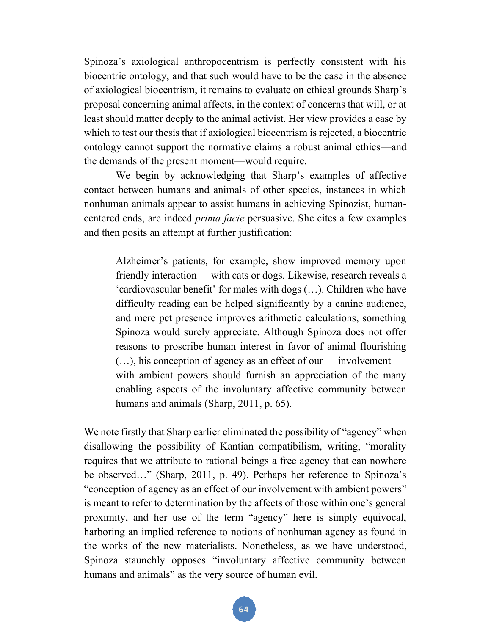Spinoza's axiological anthropocentrism is perfectly consistent with his biocentric ontology, and that such would have to be the case in the absence of axiological biocentrism, it remains to evaluate on ethical grounds Sharp's proposal concerning animal affects, in the context of concerns that will, or at least should matter deeply to the animal activist. Her view provides a case by which to test our thesis that if axiological biocentrism is rejected, a biocentric ontology cannot support the normative claims a robust animal ethics—and the demands of the present moment—would require.

We begin by acknowledging that Sharp's examples of affective contact between humans and animals of other species, instances in which nonhuman animals appear to assist humans in achieving Spinozist, humancentered ends, are indeed *prima facie* persuasive. She cites a few examples and then posits an attempt at further justification:

Alzheimer's patients, for example, show improved memory upon friendly interaction with cats or dogs. Likewise, research reveals a 'cardiovascular benefit' for males with dogs (…). Children who have difficulty reading can be helped significantly by a canine audience, and mere pet presence improves arithmetic calculations, something Spinoza would surely appreciate. Although Spinoza does not offer reasons to proscribe human interest in favor of animal flourishing (…), his conception of agency as an effect of our involvement with ambient powers should furnish an appreciation of the many enabling aspects of the involuntary affective community between humans and animals (Sharp, 2011, p. 65).

We note firstly that Sharp earlier eliminated the possibility of "agency" when disallowing the possibility of Kantian compatibilism, writing, "morality requires that we attribute to rational beings a free agency that can nowhere be observed…" (Sharp, 2011, p. 49). Perhaps her reference to Spinoza's "conception of agency as an effect of our involvement with ambient powers" is meant to refer to determination by the affects of those within one's general proximity, and her use of the term "agency" here is simply equivocal, harboring an implied reference to notions of nonhuman agency as found in the works of the new materialists. Nonetheless, as we have understood, Spinoza staunchly opposes "involuntary affective community between humans and animals" as the very source of human evil.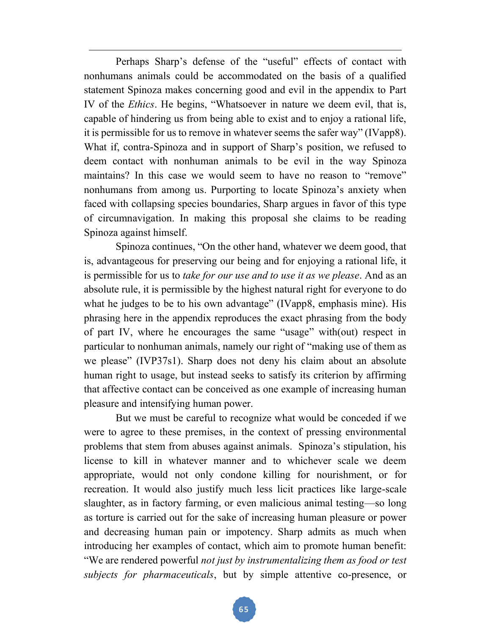Perhaps Sharp's defense of the "useful" effects of contact with nonhumans animals could be accommodated on the basis of a qualified statement Spinoza makes concerning good and evil in the appendix to Part IV of the *Ethics*. He begins, "Whatsoever in nature we deem evil, that is, capable of hindering us from being able to exist and to enjoy a rational life, it is permissible for us to remove in whatever seems the safer way" (IVapp8). What if, contra-Spinoza and in support of Sharp's position, we refused to deem contact with nonhuman animals to be evil in the way Spinoza maintains? In this case we would seem to have no reason to "remove" nonhumans from among us. Purporting to locate Spinoza's anxiety when faced with collapsing species boundaries, Sharp argues in favor of this type of circumnavigation. In making this proposal she claims to be reading Spinoza against himself.

Spinoza continues, "On the other hand, whatever we deem good, that is, advantageous for preserving our being and for enjoying a rational life, it is permissible for us to *take for our use and to use it as we please*. And as an absolute rule, it is permissible by the highest natural right for everyone to do what he judges to be to his own advantage" (IVapp8, emphasis mine). His phrasing here in the appendix reproduces the exact phrasing from the body of part IV, where he encourages the same "usage" with(out) respect in particular to nonhuman animals, namely our right of "making use of them as we please" (IVP37s1). Sharp does not deny his claim about an absolute human right to usage, but instead seeks to satisfy its criterion by affirming that affective contact can be conceived as one example of increasing human pleasure and intensifying human power.

But we must be careful to recognize what would be conceded if we were to agree to these premises, in the context of pressing environmental problems that stem from abuses against animals. Spinoza's stipulation, his license to kill in whatever manner and to whichever scale we deem appropriate, would not only condone killing for nourishment, or for recreation. It would also justify much less licit practices like large-scale slaughter, as in factory farming, or even malicious animal testing—so long as torture is carried out for the sake of increasing human pleasure or power and decreasing human pain or impotency. Sharp admits as much when introducing her examples of contact, which aim to promote human benefit: "We are rendered powerful *not just by instrumentalizing them as food or test subjects for pharmaceuticals*, but by simple attentive co-presence, or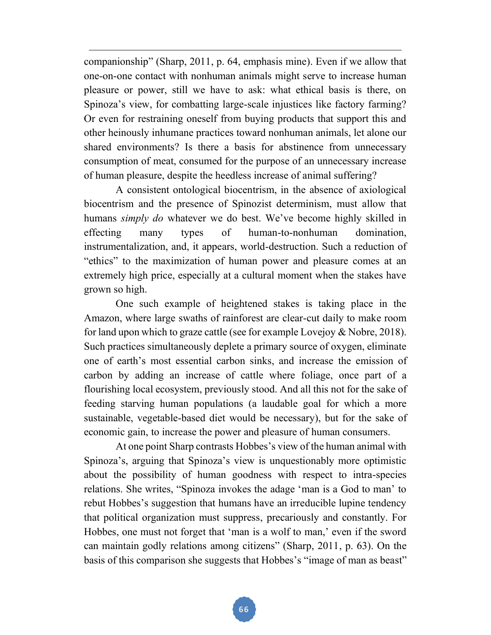companionship" (Sharp, 2011, p. 64, emphasis mine). Even if we allow that one-on-one contact with nonhuman animals might serve to increase human pleasure or power, still we have to ask: what ethical basis is there, on Spinoza's view, for combatting large-scale injustices like factory farming? Or even for restraining oneself from buying products that support this and other heinously inhumane practices toward nonhuman animals, let alone our shared environments? Is there a basis for abstinence from unnecessary consumption of meat, consumed for the purpose of an unnecessary increase of human pleasure, despite the heedless increase of animal suffering?

A consistent ontological biocentrism, in the absence of axiological biocentrism and the presence of Spinozist determinism, must allow that humans *simply do* whatever we do best. We've become highly skilled in effecting many types of human-to-nonhuman domination, instrumentalization, and, it appears, world-destruction. Such a reduction of "ethics" to the maximization of human power and pleasure comes at an extremely high price, especially at a cultural moment when the stakes have grown so high.

One such example of heightened stakes is taking place in the Amazon, where large swaths of rainforest are clear-cut daily to make room for land upon which to graze cattle (see for example Lovejoy & Nobre, 2018). Such practices simultaneously deplete a primary source of oxygen, eliminate one of earth's most essential carbon sinks, and increase the emission of carbon by adding an increase of cattle where foliage, once part of a flourishing local ecosystem, previously stood. And all this not for the sake of feeding starving human populations (a laudable goal for which a more sustainable, vegetable-based diet would be necessary), but for the sake of economic gain, to increase the power and pleasure of human consumers.

At one point Sharp contrasts Hobbes's view of the human animal with Spinoza's, arguing that Spinoza's view is unquestionably more optimistic about the possibility of human goodness with respect to intra-species relations. She writes, "Spinoza invokes the adage 'man is a God to man' to rebut Hobbes's suggestion that humans have an irreducible lupine tendency that political organization must suppress, precariously and constantly. For Hobbes, one must not forget that 'man is a wolf to man,' even if the sword can maintain godly relations among citizens" (Sharp, 2011, p. 63). On the basis of this comparison she suggests that Hobbes's "image of man as beast"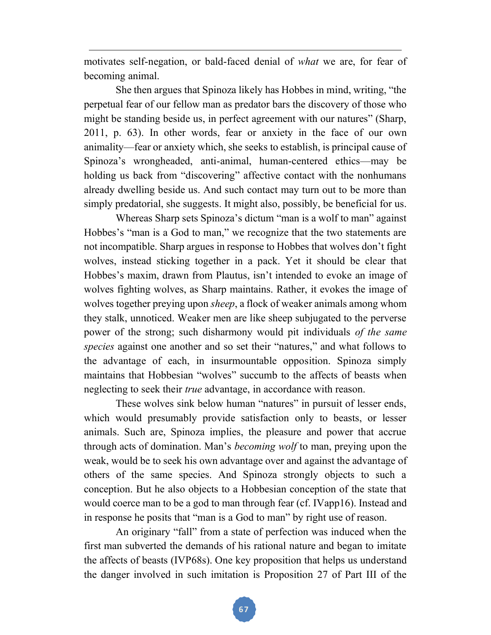motivates self-negation, or bald-faced denial of *what* we are, for fear of becoming animal.

She then argues that Spinoza likely has Hobbes in mind, writing, "the perpetual fear of our fellow man as predator bars the discovery of those who might be standing beside us, in perfect agreement with our natures" (Sharp, 2011, p. 63). In other words, fear or anxiety in the face of our own animality—fear or anxiety which, she seeks to establish, is principal cause of Spinoza's wrongheaded, anti-animal, human-centered ethics—may be holding us back from "discovering" affective contact with the nonhumans already dwelling beside us. And such contact may turn out to be more than simply predatorial, she suggests. It might also, possibly, be beneficial for us.

Whereas Sharp sets Spinoza's dictum "man is a wolf to man" against Hobbes's "man is a God to man," we recognize that the two statements are not incompatible. Sharp argues in response to Hobbes that wolves don't fight wolves, instead sticking together in a pack. Yet it should be clear that Hobbes's maxim, drawn from Plautus, isn't intended to evoke an image of wolves fighting wolves, as Sharp maintains. Rather, it evokes the image of wolves together preying upon *sheep*, a flock of weaker animals among whom they stalk, unnoticed. Weaker men are like sheep subjugated to the perverse power of the strong; such disharmony would pit individuals *of the same species* against one another and so set their "natures," and what follows to the advantage of each, in insurmountable opposition. Spinoza simply maintains that Hobbesian "wolves" succumb to the affects of beasts when neglecting to seek their *true* advantage, in accordance with reason.

These wolves sink below human "natures" in pursuit of lesser ends, which would presumably provide satisfaction only to beasts, or lesser animals. Such are, Spinoza implies, the pleasure and power that accrue through acts of domination. Man's *becoming wolf* to man, preying upon the weak, would be to seek his own advantage over and against the advantage of others of the same species. And Spinoza strongly objects to such a conception. But he also objects to a Hobbesian conception of the state that would coerce man to be a god to man through fear (cf. IVapp16). Instead and in response he posits that "man is a God to man" by right use of reason.

An originary "fall" from a state of perfection was induced when the first man subverted the demands of his rational nature and began to imitate the affects of beasts (IVP68s). One key proposition that helps us understand the danger involved in such imitation is Proposition 27 of Part III of the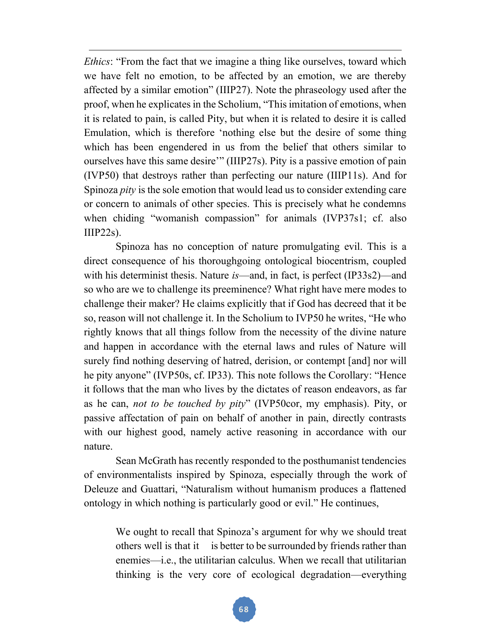*Ethics*: "From the fact that we imagine a thing like ourselves, toward which we have felt no emotion, to be affected by an emotion, we are thereby affected by a similar emotion" (IIIP27). Note the phraseology used after the proof, when he explicates in the Scholium, "This imitation of emotions, when it is related to pain, is called Pity, but when it is related to desire it is called Emulation, which is therefore 'nothing else but the desire of some thing which has been engendered in us from the belief that others similar to ourselves have this same desire"" (IIIP27s). Pity is a passive emotion of pain (IVP50) that destroys rather than perfecting our nature (IIIP11s). And for Spinoza *pity* is the sole emotion that would lead us to consider extending care or concern to animals of other species. This is precisely what he condemns when chiding "womanish compassion" for animals (IVP37s1; cf. also  $IIIP22s$ ).

Spinoza has no conception of nature promulgating evil. This is a direct consequence of his thoroughgoing ontological biocentrism, coupled with his determinist thesis. Nature *is*—and, in fact, is perfect (IP33s2)—and so who are we to challenge its preeminence? What right have mere modes to challenge their maker? He claims explicitly that if God has decreed that it be so, reason will not challenge it. In the Scholium to IVP50 he writes, "He who rightly knows that all things follow from the necessity of the divine nature and happen in accordance with the eternal laws and rules of Nature will surely find nothing deserving of hatred, derision, or contempt [and] nor will he pity anyone" (IVP50s, cf. IP33). This note follows the Corollary: "Hence it follows that the man who lives by the dictates of reason endeavors, as far as he can, *not to be touched by pity*" (IVP50cor, my emphasis). Pity, or passive affectation of pain on behalf of another in pain, directly contrasts with our highest good, namely active reasoning in accordance with our nature.

Sean McGrath has recently responded to the posthumanist tendencies of environmentalists inspired by Spinoza, especially through the work of Deleuze and Guattari, "Naturalism without humanism produces a flattened ontology in which nothing is particularly good or evil." He continues,

We ought to recall that Spinoza's argument for why we should treat others well is that it is better to be surrounded by friends rather than enemies—i.e., the utilitarian calculus. When we recall that utilitarian thinking is the very core of ecological degradation—everything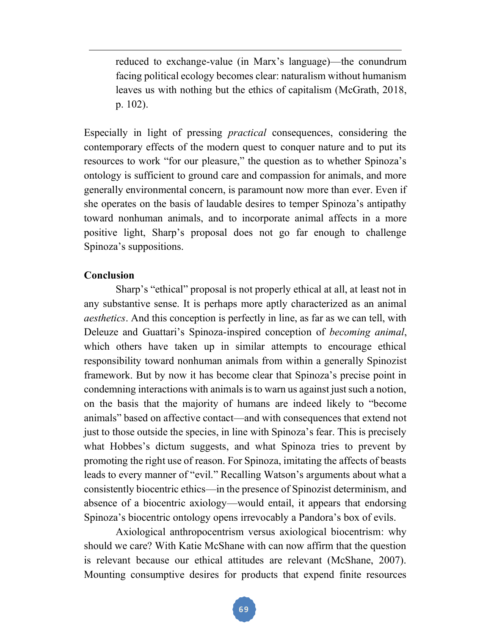reduced to exchange-value (in Marx's language)—the conundrum facing political ecology becomes clear: naturalism without humanism leaves us with nothing but the ethics of capitalism (McGrath, 2018, p. 102).

Especially in light of pressing *practical* consequences, considering the contemporary effects of the modern quest to conquer nature and to put its resources to work "for our pleasure," the question as to whether Spinoza's ontology is sufficient to ground care and compassion for animals, and more generally environmental concern, is paramount now more than ever. Even if she operates on the basis of laudable desires to temper Spinoza's antipathy toward nonhuman animals, and to incorporate animal affects in a more positive light, Sharp's proposal does not go far enough to challenge Spinoza's suppositions.

# **Conclusion**

Sharp's "ethical" proposal is not properly ethical at all, at least not in any substantive sense. It is perhaps more aptly characterized as an animal *aesthetics*. And this conception is perfectly in line, as far as we can tell, with Deleuze and Guattari's Spinoza-inspired conception of *becoming animal*, which others have taken up in similar attempts to encourage ethical responsibility toward nonhuman animals from within a generally Spinozist framework. But by now it has become clear that Spinoza's precise point in condemning interactions with animals is to warn us against just such a notion, on the basis that the majority of humans are indeed likely to "become animals" based on affective contact—and with consequences that extend not just to those outside the species, in line with Spinoza's fear. This is precisely what Hobbes's dictum suggests, and what Spinoza tries to prevent by promoting the right use of reason. For Spinoza, imitating the affects of beasts leads to every manner of "evil." Recalling Watson's arguments about what a consistently biocentric ethics—in the presence of Spinozist determinism, and absence of a biocentric axiology—would entail, it appears that endorsing Spinoza's biocentric ontology opens irrevocably a Pandora's box of evils.

Axiological anthropocentrism versus axiological biocentrism: why should we care? With Katie McShane with can now affirm that the question is relevant because our ethical attitudes are relevant (McShane, 2007). Mounting consumptive desires for products that expend finite resources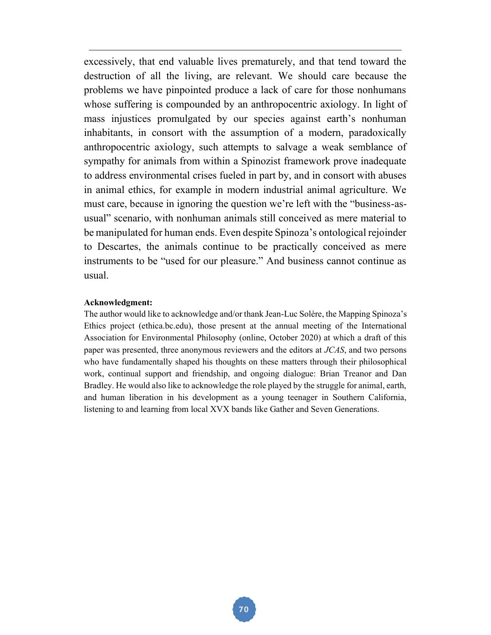excessively, that end valuable lives prematurely, and that tend toward the destruction of all the living, are relevant. We should care because the problems we have pinpointed produce a lack of care for those nonhumans whose suffering is compounded by an anthropocentric axiology. In light of mass injustices promulgated by our species against earth's nonhuman inhabitants, in consort with the assumption of a modern, paradoxically anthropocentric axiology, such attempts to salvage a weak semblance of sympathy for animals from within a Spinozist framework prove inadequate to address environmental crises fueled in part by, and in consort with abuses in animal ethics, for example in modern industrial animal agriculture. We must care, because in ignoring the question we're left with the "business-asusual" scenario, with nonhuman animals still conceived as mere material to be manipulated for human ends. Even despite Spinoza's ontological rejoinder to Descartes, the animals continue to be practically conceived as mere instruments to be "used for our pleasure." And business cannot continue as usual.

#### **Acknowledgment:**

The author would like to acknowledge and/or thank Jean-Luc Solère, the Mapping Spinoza's Ethics project (ethica.bc.edu), those present at the annual meeting of the International Association for Environmental Philosophy (online, October 2020) at which a draft of this paper was presented, three anonymous reviewers and the editors at *JCAS*, and two persons who have fundamentally shaped his thoughts on these matters through their philosophical work, continual support and friendship, and ongoing dialogue: Brian Treanor and Dan Bradley. He would also like to acknowledge the role played by the struggle for animal, earth, and human liberation in his development as a young teenager in Southern California, listening to and learning from local XVX bands like Gather and Seven Generations.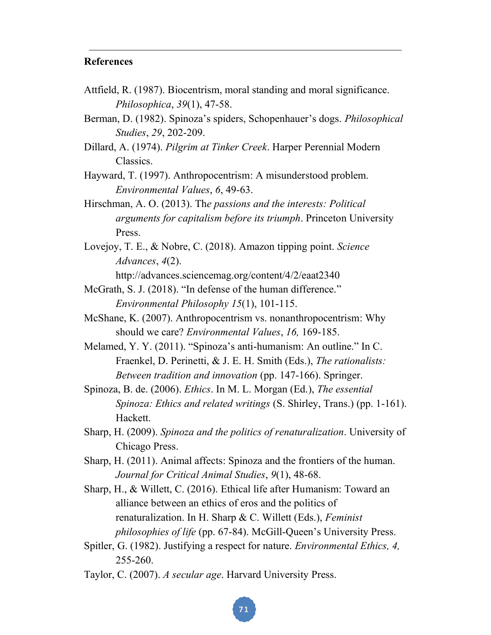## **References**

- Attfield, R. (1987). Biocentrism, moral standing and moral significance. *Philosophica*, *39*(1), 47-58.
- Berman, D. (1982). Spinoza's spiders, Schopenhauer's dogs. *Philosophical Studies*, *29*, 202-209.
- Dillard, A. (1974). *Pilgrim at Tinker Creek*. Harper Perennial Modern Classics.
- Hayward, T. (1997). Anthropocentrism: A misunderstood problem. *Environmental Values*, *6*, 49-63.
- Hirschman, A. O. (2013). Th*e passions and the interests: Political arguments for capitalism before its triumph*. Princeton University Press.
- Lovejoy, T. E., & Nobre, C. (2018). Amazon tipping point. *Science Advances*, *4*(2).

http://advances.sciencemag.org/content/4/2/eaat2340

- McGrath, S. J. (2018). "In defense of the human difference." *Environmental Philosophy 15*(1), 101-115.
- McShane, K. (2007). Anthropocentrism vs. nonanthropocentrism: Why should we care? *Environmental Values*, *16,* 169-185.
- Melamed, Y. Y. (2011). "Spinoza's anti-humanism: An outline." In C. Fraenkel, D. Perinetti, & J. E. H. Smith (Eds.), *The rationalists: Between tradition and innovation* (pp. 147-166). Springer.
- Spinoza, B. de. (2006). *Ethics*. In M. L. Morgan (Ed.), *The essential Spinoza: Ethics and related writings* (S. Shirley, Trans.) (pp. 1-161). Hackett.
- Sharp, H. (2009). *Spinoza and the politics of renaturalization*. University of Chicago Press.
- Sharp, H. (2011). Animal affects: Spinoza and the frontiers of the human. *Journal for Critical Animal Studies*, *9*(1), 48-68.
- Sharp, H., & Willett, C. (2016). Ethical life after Humanism: Toward an alliance between an ethics of eros and the politics of renaturalization. In H. Sharp & C. Willett (Eds.), *Feminist philosophies of life* (pp. 67-84). McGill-Queen's University Press.
- Spitler, G. (1982). Justifying a respect for nature. *Environmental Ethics, 4,* 255-260.
- Taylor, C. (2007). *A secular age*. Harvard University Press.